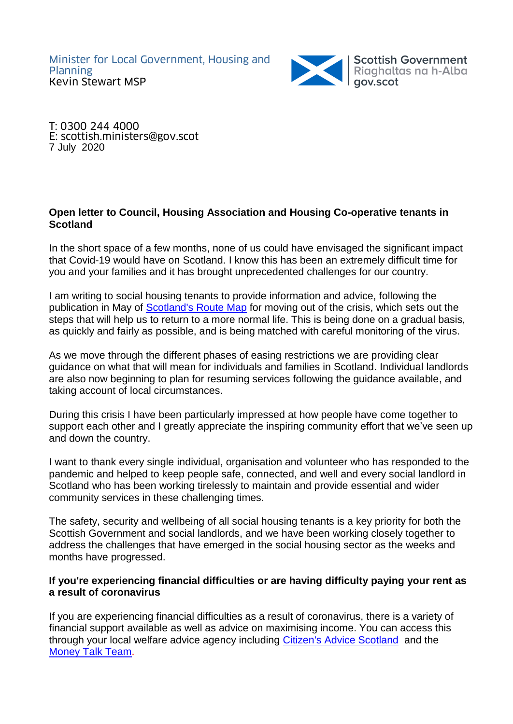

T: 0300 244 4000 E: scottish.ministers@gov.scot 7 July 2020

# **Open letter to Council, Housing Association and Housing Co-operative tenants in Scotland**

In the short space of a few months, none of us could have envisaged the significant impact that Covid-19 would have on Scotland. I know this has been an extremely difficult time for you and your families and it has brought unprecedented challenges for our country.

I am writing to social housing tenants to provide information and advice, following the publication in May of [Scotland's Route Map](https://www.gov.scot/binaries/content/documents/govscot/publications/strategy-plan/2020/05/coronavirus-covid-19-framework-decision-making-scotlands-route-map-through-out-crisis/documents/covid-19-framework-decision-making-scotlands-route-map-through-out-crisis/covid-19-framework-decision-making-scotlands-route-map-through-out-crisis/govscot%3Adocument/covid-19-framework-decision-making-scotlands-route-map-through-out-crisis.pdf) for moving out of the crisis, which sets out the steps that will help us to return to a more normal life. This is being done on a gradual basis, as quickly and fairly as possible, and is being matched with careful monitoring of the virus.

As we move through the different phases of easing restrictions we are providing clear guidance on what that will mean for individuals and families in Scotland. Individual landlords are also now beginning to plan for resuming services following the guidance available, and taking account of local circumstances.

During this crisis I have been particularly impressed at how people have come together to support each other and I greatly appreciate the inspiring community effort that we've seen up and down the country.

I want to thank every single individual, organisation and volunteer who has responded to the pandemic and helped to keep people safe, connected, and well and every social landlord in Scotland who has been working tirelessly to maintain and provide essential and wider community services in these challenging times.

The safety, security and wellbeing of all social housing tenants is a key priority for both the Scottish Government and social landlords, and we have been working closely together to address the challenges that have emerged in the social housing sector as the weeks and months have progressed.

# **If you're experiencing financial difficulties or are having difficulty paying your rent as a result of coronavirus**

If you are experiencing financial difficulties as a result of coronavirus, there is a variety of financial support available as well as advice on maximising income. You can access this through your local welfare advice agency including [Citizen's Advice Scotland](https://www.citizensadvice.org.uk/scotland/health/coronavirus-what-it-means-for-you-s/) and the [Money Talk Team.](https://www.citizensadvice.org.uk/scotland/debt-and-money/other-resources-related-to-debt-and-money/money-talk-team-s/)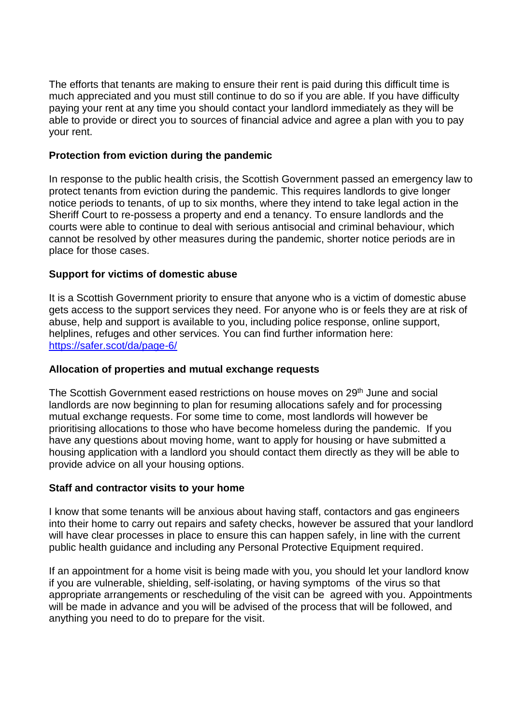The efforts that tenants are making to ensure their rent is paid during this difficult time is much appreciated and you must still continue to do so if you are able. If you have difficulty paying your rent at any time you should contact your landlord immediately as they will be able to provide or direct you to sources of financial advice and agree a plan with you to pay your rent.

## **Protection from eviction during the pandemic**

In response to the public health crisis, the Scottish Government passed an emergency law to protect tenants from eviction during the pandemic. This requires landlords to give longer notice periods to tenants, of up to six months, where they intend to take legal action in the Sheriff Court to re-possess a property and end a tenancy. To ensure landlords and the courts were able to continue to deal with serious antisocial and criminal behaviour, which cannot be resolved by other measures during the pandemic, shorter notice periods are in place for those cases.

# **Support for victims of domestic abuse**

It is a Scottish Government priority to ensure that anyone who is a victim of domestic abuse gets access to the support services they need. For anyone who is or feels they are at risk of abuse, help and support is available to you, including police response, online support, helplines, refuges and other services. You can find further information here: <https://safer.scot/da/page-6/>

### **Allocation of properties and mutual exchange requests**

The Scottish Government eased restrictions on house moves on 29<sup>th</sup> June and social landlords are now beginning to plan for resuming allocations safely and for processing mutual exchange requests. For some time to come, most landlords will however be prioritising allocations to those who have become homeless during the pandemic. If you have any questions about moving home, want to apply for housing or have submitted a housing application with a landlord you should contact them directly as they will be able to provide advice on all your housing options.

### **Staff and contractor visits to your home**

I know that some tenants will be anxious about having staff, contactors and gas engineers into their home to carry out repairs and safety checks, however be assured that your landlord will have clear processes in place to ensure this can happen safely, in line with the current public health guidance and including any Personal Protective Equipment required.

If an appointment for a home visit is being made with you, you should let your landlord know if you are vulnerable, shielding, self-isolating, or having symptoms of the virus so that appropriate arrangements or rescheduling of the visit can be agreed with you. Appointments will be made in advance and you will be advised of the process that will be followed, and anything you need to do to prepare for the visit.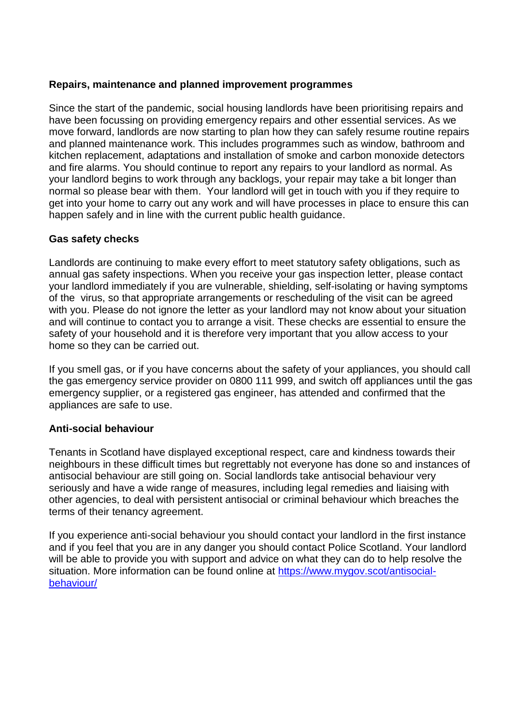## **Repairs, maintenance and planned improvement programmes**

Since the start of the pandemic, social housing landlords have been prioritising repairs and have been focussing on providing emergency repairs and other essential services. As we move forward, landlords are now starting to plan how they can safely resume routine repairs and planned maintenance work. This includes programmes such as window, bathroom and kitchen replacement, adaptations and installation of smoke and carbon monoxide detectors and fire alarms. You should continue to report any repairs to your landlord as normal. As your landlord begins to work through any backlogs, your repair may take a bit longer than normal so please bear with them. Your landlord will get in touch with you if they require to get into your home to carry out any work and will have processes in place to ensure this can happen safely and in line with the current public health guidance.

# **Gas safety checks**

Landlords are continuing to make every effort to meet statutory safety obligations, such as annual gas safety inspections. When you receive your gas inspection letter, please contact your landlord immediately if you are vulnerable, shielding, self-isolating or having symptoms of the virus, so that appropriate arrangements or rescheduling of the visit can be agreed with you. Please do not ignore the letter as your landlord may not know about your situation and will continue to contact you to arrange a visit. These checks are essential to ensure the safety of your household and it is therefore very important that you allow access to your home so they can be carried out.

If you smell gas, or if you have concerns about the safety of your appliances, you should call the gas emergency service provider on 0800 111 999, and switch off appliances until the gas emergency supplier, or a registered gas engineer, has attended and confirmed that the appliances are safe to use.

# **Anti-social behaviour**

Tenants in Scotland have displayed exceptional respect, care and kindness towards their neighbours in these difficult times but regrettably not everyone has done so and instances of antisocial behaviour are still going on. Social landlords take antisocial behaviour very seriously and have a wide range of measures, including legal remedies and liaising with other agencies, to deal with persistent antisocial or criminal behaviour which breaches the terms of their tenancy agreement.

If you experience anti-social behaviour you should contact your landlord in the first instance and if you feel that you are in any danger you should contact Police Scotland. Your landlord will be able to provide you with support and advice on what they can do to help resolve the situation. More information can be found online at [https://www.mygov.scot/antisocial](https://www.mygov.scot/antisocial-behaviour/)[behaviour/](https://www.mygov.scot/antisocial-behaviour/)